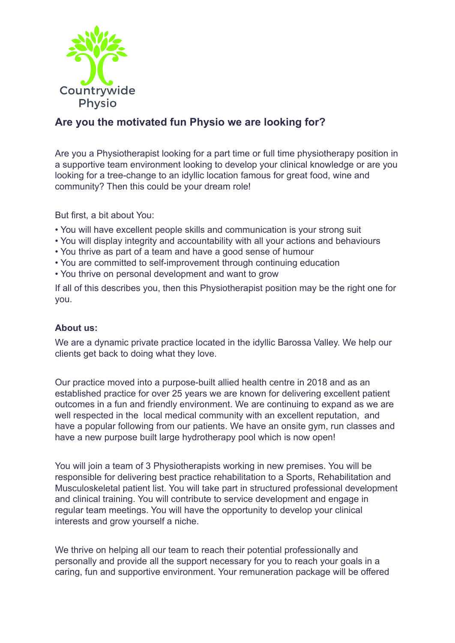

## **Are you the motivated fun Physio we are looking for?**

Are you a Physiotherapist looking for a part time or full time physiotherapy position in a supportive team environment looking to develop your clinical knowledge or are you looking for a tree-change to an idyllic location famous for great food, wine and community? Then this could be your dream role!

But first, a bit about You:

- You will have excellent people skills and communication is your strong suit
- You will display integrity and accountability with all your actions and behaviours
- You thrive as part of a team and have a good sense of humour
- You are committed to self-improvement through continuing education
- You thrive on personal development and want to grow

If all of this describes you, then this Physiotherapist position may be the right one for you.

## **About us:**

We are a dynamic private practice located in the idyllic Barossa Valley. We help our clients get back to doing what they love.

Our practice moved into a purpose-built allied health centre in 2018 and as an established practice for over 25 years we are known for delivering excellent patient outcomes in a fun and friendly environment. We are continuing to expand as we are well respected in the local medical community with an excellent reputation, and have a popular following from our patients. We have an onsite gym, run classes and have a new purpose built large hydrotherapy pool which is now open!

You will join a team of 3 Physiotherapists working in new premises. You will be responsible for delivering best practice rehabilitation to a Sports, Rehabilitation and Musculoskeletal patient list. You will take part in structured professional development and clinical training. You will contribute to service development and engage in regular team meetings. You will have the opportunity to develop your clinical interests and grow yourself a niche.

We thrive on helping all our team to reach their potential professionally and personally and provide all the support necessary for you to reach your goals in a caring, fun and supportive environment. Your remuneration package will be offered